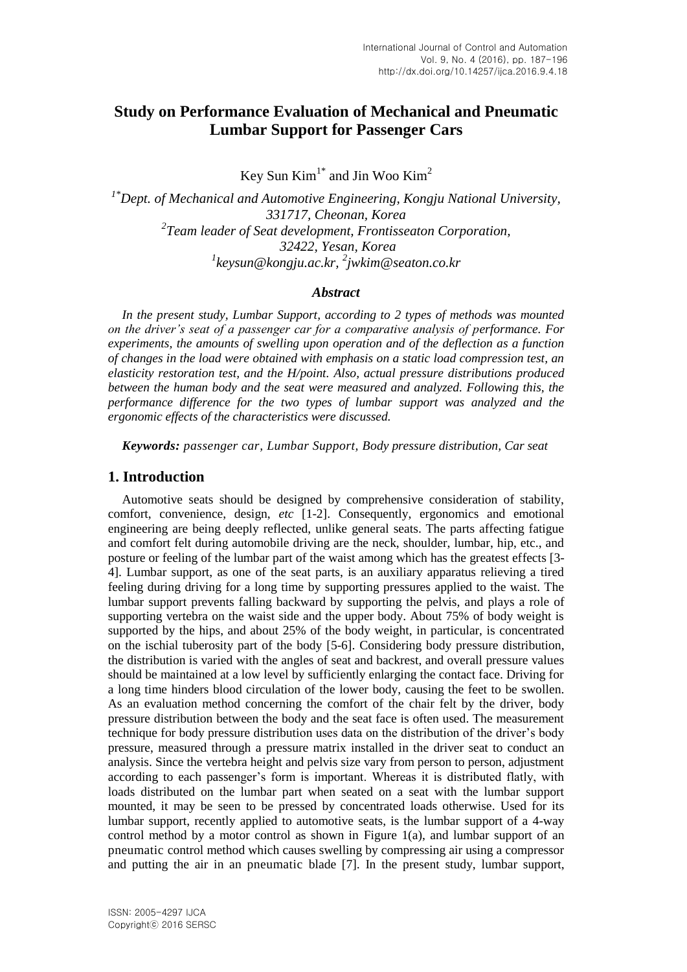# **Study on Performance Evaluation of Mechanical and Pneumatic Lumbar Support for Passenger Cars**

Key Sun  $Kim^{1*}$  and Jin Woo Kim<sup>2</sup>

*1\*Dept. of Mechanical and Automotive Engineering, Kongju National University, 331717, Cheonan, Korea 2 Team leader of Seat development, Frontisseaton Corporation, 32422, Yesan, Korea 1 keysun@kongju.ac.kr, 2 jwkim@seaton.co.kr*

#### *Abstract*

*In the present study, Lumbar Support, according to 2 types of methods was mounted on the driver's seat of a passenger car for a comparative analysis of performance. For experiments, the amounts of swelling upon operation and of the deflection as a function of changes in the load were obtained with emphasis on a static load compression test, an elasticity restoration test, and the H/point. Also, actual pressure distributions produced between the human body and the seat were measured and analyzed. Following this, the performance difference for the two types of lumbar support was analyzed and the ergonomic effects of the characteristics were discussed.*

*Keywords: passenger car, Lumbar Support, Body pressure distribution, Car seat*

#### **1. Introduction**

Automotive seats should be designed by comprehensive consideration of stability, comfort, convenience, design, *etc* [1-2]. Consequently, ergonomics and emotional engineering are being deeply reflected, unlike general seats. The parts affecting fatigue and comfort felt during automobile driving are the neck, shoulder, lumbar, hip, etc., and posture or feeling of the lumbar part of the waist among which has the greatest effects [3- 4]. Lumbar support, as one of the seat parts, is an auxiliary apparatus relieving a tired feeling during driving for a long time by supporting pressures applied to the waist. The lumbar support prevents falling backward by supporting the pelvis, and plays a role of supporting vertebra on the waist side and the upper body. About 75% of body weight is supported by the hips, and about 25% of the body weight, in particular, is concentrated on the ischial tuberosity part of the body [5-6]. Considering body pressure distribution, the distribution is varied with the angles of seat and backrest, and overall pressure values should be maintained at a low level by sufficiently enlarging the contact face. Driving for a long time hinders blood circulation of the lower body, causing the feet to be swollen. As an evaluation method concerning the comfort of the chair felt by the driver, body pressure distribution between the body and the seat face is often used. The measurement technique for body pressure distribution uses data on the distribution of the driver's body pressure, measured through a pressure matrix installed in the driver seat to conduct an analysis. Since the vertebra height and pelvis size vary from person to person, adjustment according to each passenger's form is important. Whereas it is distributed flatly, with loads distributed on the lumbar part when seated on a seat with the lumbar support mounted, it may be seen to be pressed by concentrated loads otherwise. Used for its lumbar support, recently applied to automotive seats, is the lumbar support of a 4-way control method by a motor control as shown in Figure 1(a), and lumbar support of an pneumatic control method which causes swelling by compressing air using a compressor and putting the air in an pneumatic blade [7]. In the present study, lumbar support,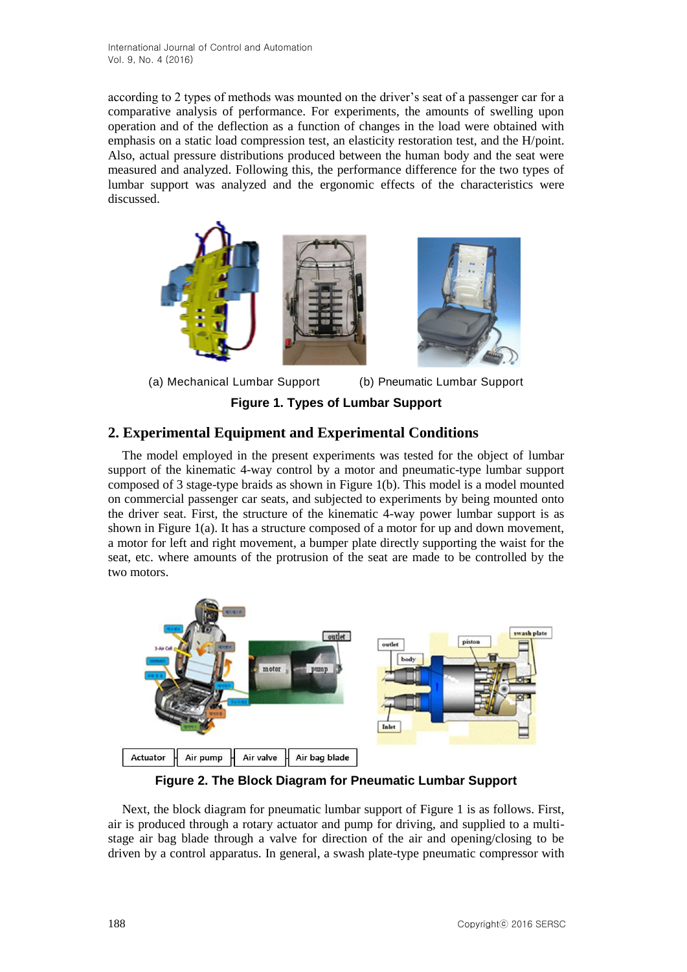according to 2 types of methods was mounted on the driver's seat of a passenger car for a comparative analysis of performance. For experiments, the amounts of swelling upon operation and of the deflection as a function of changes in the load were obtained with emphasis on a static load compression test, an elasticity restoration test, and the H/point. Also, actual pressure distributions produced between the human body and the seat were measured and analyzed. Following this, the performance difference for the two types of lumbar support was analyzed and the ergonomic effects of the characteristics were discussed.





(a) Mechanical Lumbar Support (b) Pneumatic Lumbar Support **Figure 1. Types of Lumbar Support**

# **2. Experimental Equipment and Experimental Conditions**

The model employed in the present experiments was tested for the object of lumbar support of the kinematic 4-way control by a motor and pneumatic-type lumbar support composed of 3 stage-type braids as shown in Figure  $1(b)$ . This model is a model mounted on commercial passenger car seats, and subjected to experiments by being mounted onto the driver seat. First, the structure of the kinematic 4-way power lumbar support is as shown in Figure 1(a). It has a structure composed of a motor for up and down movement, a motor for left and right movement, a bumper plate directly supporting the waist for the seat, etc. where amounts of the protrusion of the seat are made to be controlled by the two motors.



**Figure 2. The Block Diagram for Pneumatic Lumbar Support**

Next, the block diagram for pneumatic lumbar support of Figure 1 is as follows. First, air is produced through a rotary actuator and pump for driving, and supplied to a multistage air bag blade through a valve for direction of the air and opening/closing to be driven by a control apparatus. In general, a swash plate-type pneumatic compressor with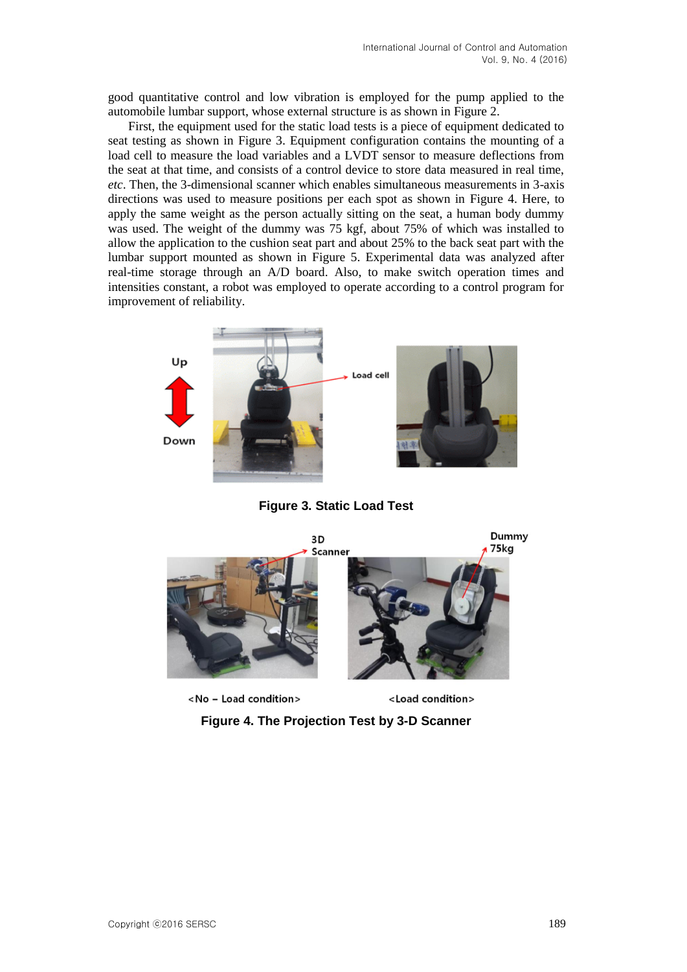good quantitative control and low vibration is employed for the pump applied to the automobile lumbar support, whose external structure is as shown in Figure 2.

First, the equipment used for the static load tests is a piece of equipment dedicated to seat testing as shown in Figure 3. Equipment configuration contains the mounting of a load cell to measure the load variables and a LVDT sensor to measure deflections from the seat at that time, and consists of a control device to store data measured in real time, *etc*. Then, the 3-dimensional scanner which enables simultaneous measurements in 3-axis directions was used to measure positions per each spot as shown in Figure 4. Here, to apply the same weight as the person actually sitting on the seat, a human body dummy was used. The weight of the dummy was 75 kgf, about 75% of which was installed to allow the application to the cushion seat part and about 25% to the back seat part with the lumbar support mounted as shown in Figure 5. Experimental data was analyzed after real-time storage through an A/D board. Also, to make switch operation times and intensities constant, a robot was employed to operate according to a control program for improvement of reliability.



**Figure 3. Static Load Test**



<No - Load condition>

<Load condition>

**Figure 4. The Projection Test by 3-D Scanner**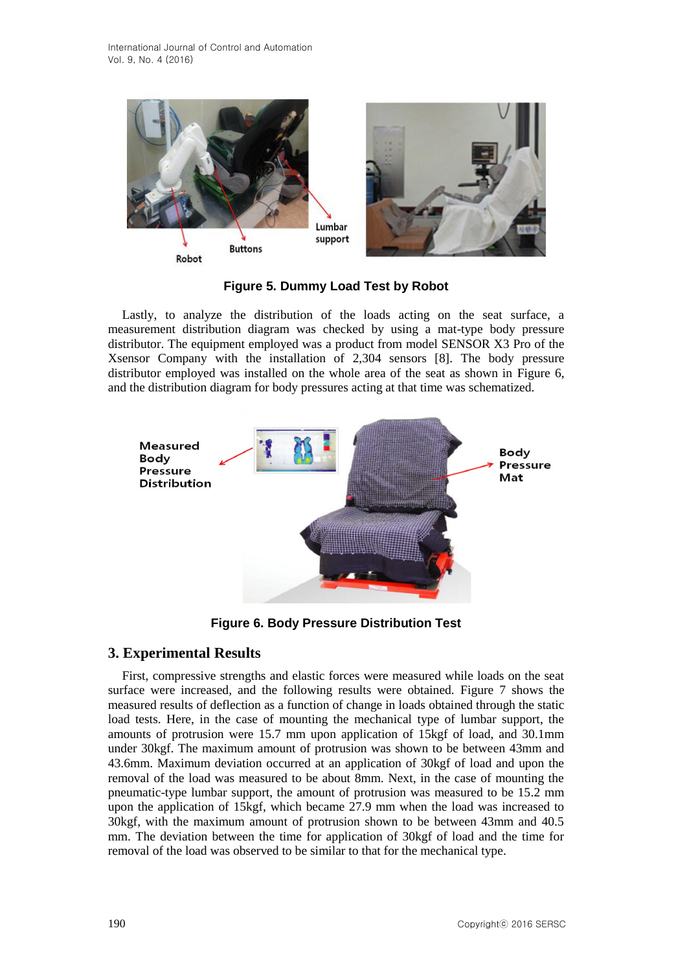

**Figure 5. Dummy Load Test by Robot**

Lastly, to analyze the distribution of the loads acting on the seat surface, a measurement distribution diagram was checked by using a mat-type body pressure distributor. The equipment employed was a product from model SENSOR X3 Pro of the Xsensor Company with the installation of 2,304 sensors [8]. The body pressure distributor employed was installed on the whole area of the seat as shown in Figure 6, and the distribution diagram for body pressures acting at that time was schematized.



**Figure 6. Body Pressure Distribution Test**

### **3. Experimental Results**

First, compressive strengths and elastic forces were measured while loads on the seat surface were increased, and the following results were obtained. Figure 7 shows the measured results of deflection as a function of change in loads obtained through the static load tests. Here, in the case of mounting the mechanical type of lumbar support, the amounts of protrusion were 15.7 mm upon application of 15kgf of load, and 30.1mm under 30kgf. The maximum amount of protrusion was shown to be between 43mm and 43.6mm. Maximum deviation occurred at an application of 30kgf of load and upon the removal of the load was measured to be about 8mm. Next, in the case of mounting the pneumatic-type lumbar support, the amount of protrusion was measured to be 15.2 mm upon the application of 15kgf, which became 27.9 mm when the load was increased to 30kgf, with the maximum amount of protrusion shown to be between 43mm and 40.5 mm. The deviation between the time for application of 30kgf of load and the time for removal of the load was observed to be similar to that for the mechanical type.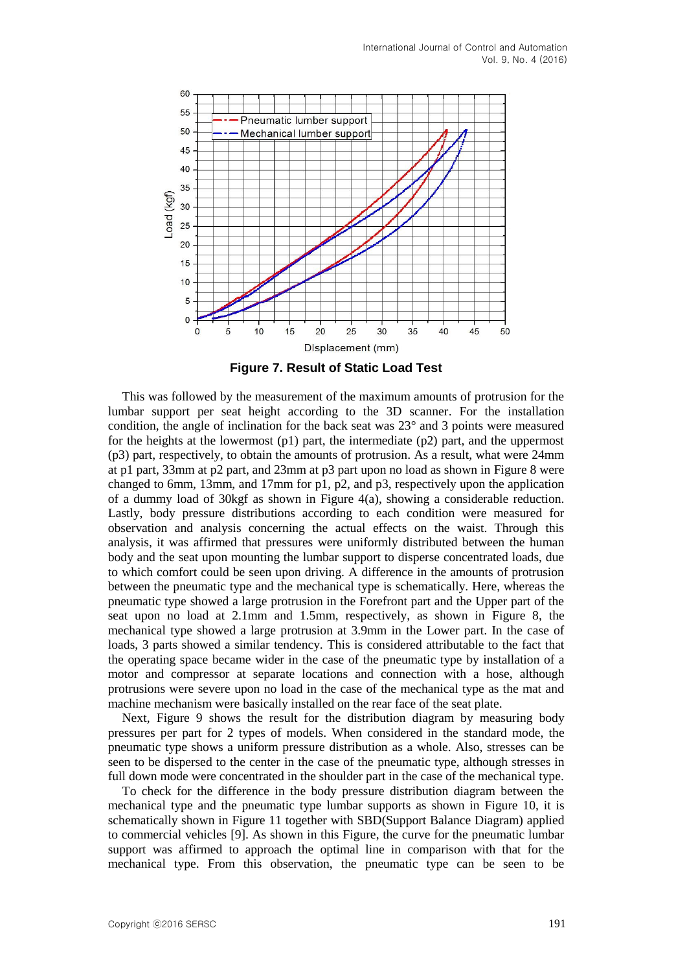

**Figure 7. Result of Static Load Test**

This was followed by the measurement of the maximum amounts of protrusion for the lumbar support per seat height according to the 3D scanner. For the installation condition, the angle of inclination for the back seat was 23° and 3 points were measured for the heights at the lowermost  $(p1)$  part, the intermediate  $(p2)$  part, and the uppermost (p3) part, respectively, to obtain the amounts of protrusion. As a result, what were 24mm at p1 part, 33mm at p2 part, and 23mm at p3 part upon no load as shown in Figure 8 were changed to 6mm, 13mm, and 17mm for p1, p2, and p3, respectively upon the application of a dummy load of 30kgf as shown in Figure 4(a), showing a considerable reduction. Lastly, body pressure distributions according to each condition were measured for observation and analysis concerning the actual effects on the waist. Through this analysis, it was affirmed that pressures were uniformly distributed between the human body and the seat upon mounting the lumbar support to disperse concentrated loads, due to which comfort could be seen upon driving. A difference in the amounts of protrusion between the pneumatic type and the mechanical type is schematically. Here, whereas the pneumatic type showed a large protrusion in the Forefront part and the Upper part of the seat upon no load at 2.1mm and 1.5mm, respectively, as shown in Figure 8, the mechanical type showed a large protrusion at 3.9mm in the Lower part. In the case of loads, 3 parts showed a similar tendency. This is considered attributable to the fact that the operating space became wider in the case of the pneumatic type by installation of a motor and compressor at separate locations and connection with a hose, although protrusions were severe upon no load in the case of the mechanical type as the mat and machine mechanism were basically installed on the rear face of the seat plate.

Next, Figure 9 shows the result for the distribution diagram by measuring body pressures per part for 2 types of models. When considered in the standard mode, the pneumatic type shows a uniform pressure distribution as a whole. Also, stresses can be seen to be dispersed to the center in the case of the pneumatic type, although stresses in full down mode were concentrated in the shoulder part in the case of the mechanical type.

To check for the difference in the body pressure distribution diagram between the mechanical type and the pneumatic type lumbar supports as shown in Figure 10, it is schematically shown in Figure 11 together with SBD(Support Balance Diagram) applied to commercial vehicles [9]. As shown in this Figure, the curve for the pneumatic lumbar support was affirmed to approach the optimal line in comparison with that for the mechanical type. From this observation, the pneumatic type can be seen to be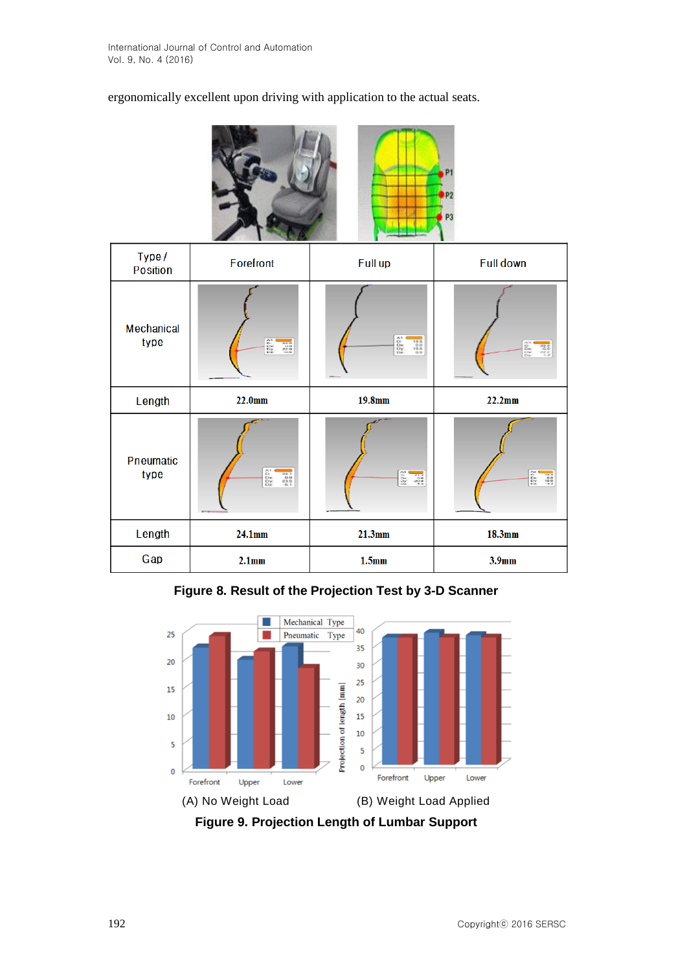ergonomically excellent upon driving with application to the actual seats.



| <b>Construction of Station</b> |                                                                                                                                                                         |                                                                                                                                     |                                                                             |
|--------------------------------|-------------------------------------------------------------------------------------------------------------------------------------------------------------------------|-------------------------------------------------------------------------------------------------------------------------------------|-----------------------------------------------------------------------------|
| Type/<br><b>Position</b>       | <b>Forefront</b>                                                                                                                                                        | Full up                                                                                                                             | <b>Full down</b>                                                            |
| Mechanical<br>type             | $\begin{array}{l} \mathsf{A}^1 \\ \mathsf{D}^1 \\ \mathsf{D} \times \\ \mathsf{D} \times \\ \mathsf{D} \times \\ \mathsf{D} \times \end{array}$<br>22.0<br>23.0<br>-0.0 | $\begin{array}{c}\n\wedge \\ \wedge \\ \wedge \\ \wedge\n\end{array}$<br>$\begin{array}{r} 19.8 \\ 0.0 \\ 19.8 \\ 19.0 \end{array}$ | 5585<br>$\begin{array}{c}\n 32.8 \\  -22.5 \\  \hline\n 12.7\n \end{array}$ |
| Length                         | 22.0mm                                                                                                                                                                  | 19.8mm                                                                                                                              | 22.2mm                                                                      |
| Pneumatic<br>type              | Andak<br>$\begin{array}{r} 24.1 \\ 0.0 \\ 23.5 \\ -6.1 \end{array}$                                                                                                     | $\frac{2}{3}$<br>$\begin{array}{r} 21.3 \\ 0.0 \\ -20.9 \\ +3. \end{array}$                                                         | <b>Negas</b><br>18.0018                                                     |
| Length                         | 24.1mm                                                                                                                                                                  | 21.3mm                                                                                                                              | 18.3mm                                                                      |
| Gap                            | 2.1mm                                                                                                                                                                   | 1.5 <sub>mm</sub>                                                                                                                   | 3.9 <sub>mm</sub>                                                           |

**Figure 8. Result of the Projection Test by 3-D Scanner**



**Figure 9. Projection Length of Lumbar Support**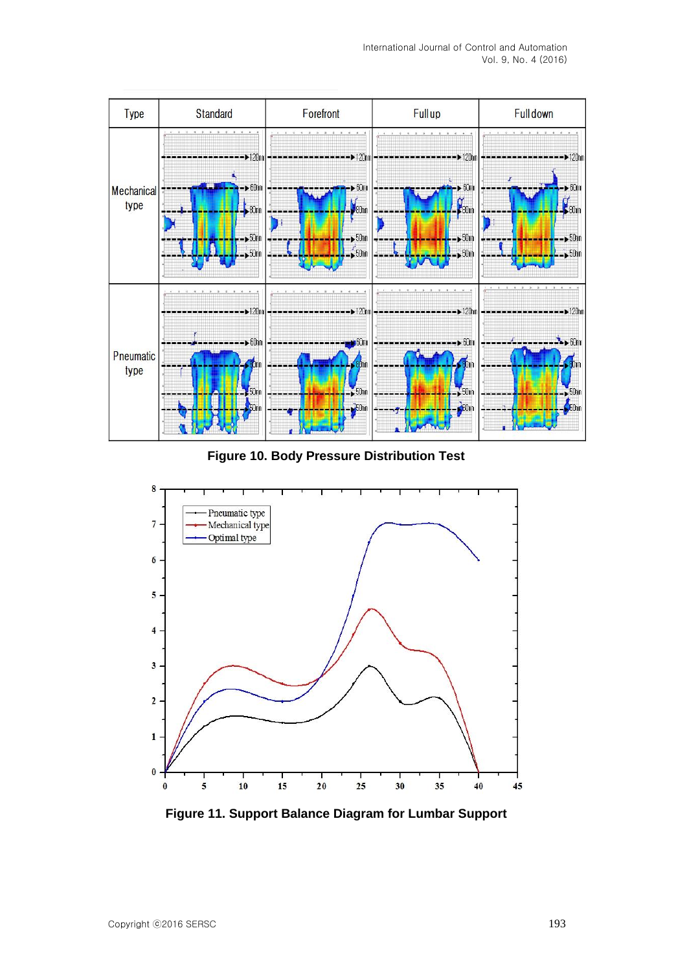

**Figure 10. Body Pressure Distribution Test**



**Figure 11. Support Balance Diagram for Lumbar Support**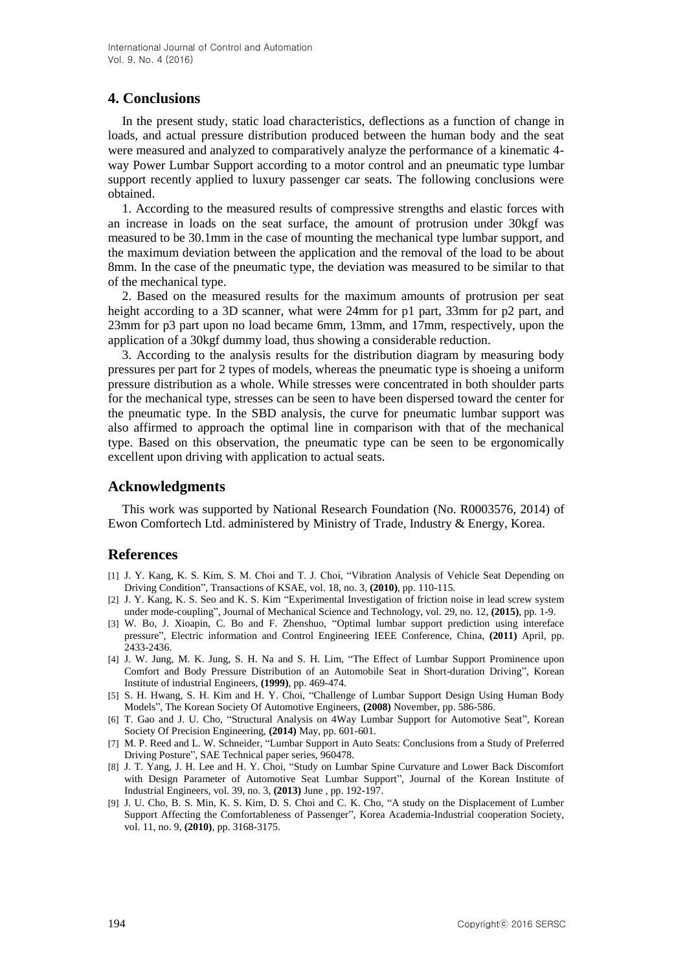### **4. Conclusions**

In the present study, static load characteristics, deflections as a function of change in loads, and actual pressure distribution produced between the human body and the seat were measured and analyzed to comparatively analyze the performance of a kinematic 4 way Power Lumbar Support according to a motor control and an pneumatic type lumbar support recently applied to luxury passenger car seats. The following conclusions were obtained.

1. According to the measured results of compressive strengths and elastic forces with an increase in loads on the seat surface, the amount of protrusion under 30kgf was measured to be 30.1mm in the case of mounting the mechanical type lumbar support, and the maximum deviation between the application and the removal of the load to be about 8mm. In the case of the pneumatic type, the deviation was measured to be similar to that of the mechanical type.

2. Based on the measured results for the maximum amounts of protrusion per seat height according to a 3D scanner, what were 24mm for p1 part, 33mm for p2 part, and 23mm for p3 part upon no load became 6mm, 13mm, and 17mm, respectively, upon the application of a 30kgf dummy load, thus showing a considerable reduction.

3. According to the analysis results for the distribution diagram by measuring body pressures per part for 2 types of models, whereas the pneumatic type is shoeing a uniform pressure distribution as a whole. While stresses were concentrated in both shoulder parts for the mechanical type, stresses can be seen to have been dispersed toward the center for the pneumatic type. In the SBD analysis, the curve for pneumatic lumbar support was also affirmed to approach the optimal line in comparison with that of the mechanical type. Based on this observation, the pneumatic type can be seen to be ergonomically excellent upon driving with application to actual seats.

#### **Acknowledgments**

This work was supported by National Research Foundation (No. R0003576, 2014) of Ewon Comfortech Ltd. administered by Ministry of Trade, Industry & Energy, Korea.

#### **References**

- [1] J. Y. Kang, K. S. Kim, S. M. Choi and T. J. Choi, "Vibration Analysis of Vehicle Seat Depending on Driving Condition", Transactions of KSAE, vol. 18, no. 3, **(2010)**, pp. 110-115.
- [2] J. Y. Kang, K. S. Seo and K. S. Kim "Experimental Investigation of friction noise in lead screw system under mode-coupling", Journal of Mechanical Science and Technology, vol. 29, no. 12, **(2015)**, pp. 1-9.
- [3] W. Bo, J. Xioapin, C. Bo and F. Zhenshuo, "Optimal lumbar support prediction using intereface pressure", Electric information and Control Engineering IEEE Conference, China, **(2011)** April, pp. 2433-2436.
- [4] J. W. Jung, M. K. Jung, S. H. Na and S. H. Lim, "The Effect of Lumbar Support Prominence upon Comfort and Body Pressure Distribution of an Automobile Seat in Short-duration Driving", Korean Institute of industrial Engineers, **(1999)**, pp. 469-474.
- [5] S. H. Hwang, S. H. Kim and H. Y. Choi, "Challenge of Lumbar Support Design Using Human Body Models", The Korean Society Of Automotive Engineers, **(2008)** November, pp. 586-586.
- [6] T. Gao and J. U. Cho, "Structural Analysis on 4Way Lumbar Support for Automotive Seat", Korean Society Of Precision Engineering, **(2014)** May, pp. 601-601.
- [7] M. P. Reed and L. W. Schneider, "Lumbar Support in Auto Seats: Conclusions from a Study of Preferred Driving Posture", SAE Technical paper series, 960478.
- [8] J. T. Yang, J. H. Lee and H. Y. Choi, "Study on Lumbar Spine Curvature and Lower Back Discomfort with Design Parameter of Automotive Seat Lumbar Support", Journal of the Korean Institute of Industrial Engineers, vol. 39, no. 3, **(2013)** June , pp. 192-197.
- [9] J. U. Cho, B. S. Min, K. S. Kim, D. S. Choi and C. K. Cho, "A study on the Displacement of Lumber Support Affecting the Comfortableness of Passenger", Korea Academia-Industrial cooperation Society, vol. 11, no. 9, **(2010)**, pp. 3168-3175.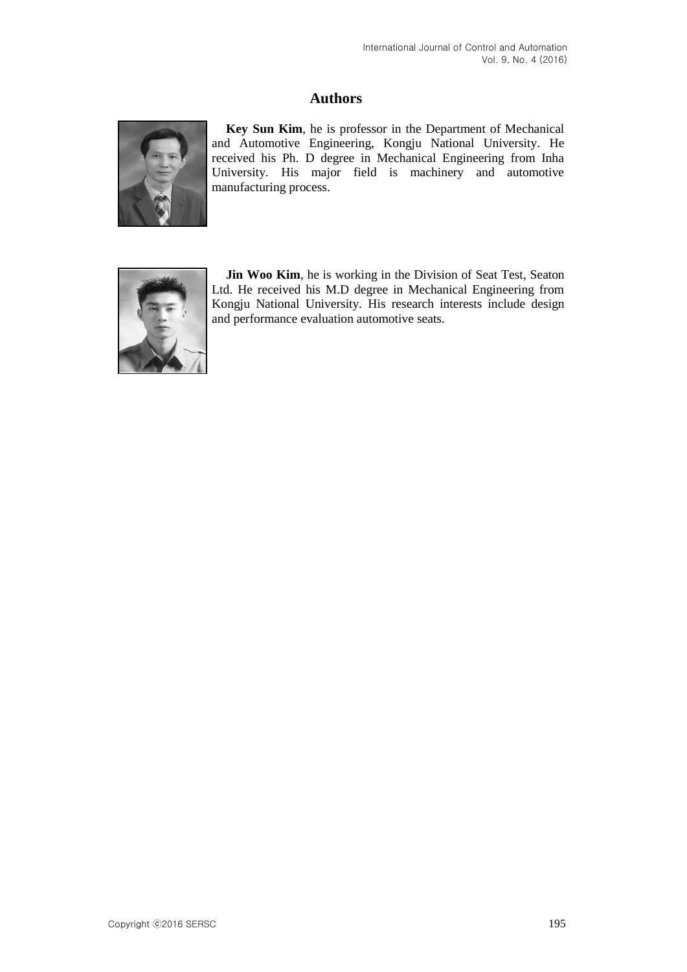### **Authors**



**Key Sun Kim**, he is professor in the Department of Mechanical and Automotive Engineering, Kongju National University. He received his Ph. D degree in Mechanical Engineering from Inha University. His major field is machinery and automotive manufacturing process.



**Jin Woo Kim**, he is working in the Division of Seat Test, Seaton Ltd. He received his M.D degree in Mechanical Engineering from Kongju National University. His research interests include design and performance evaluation automotive seats.